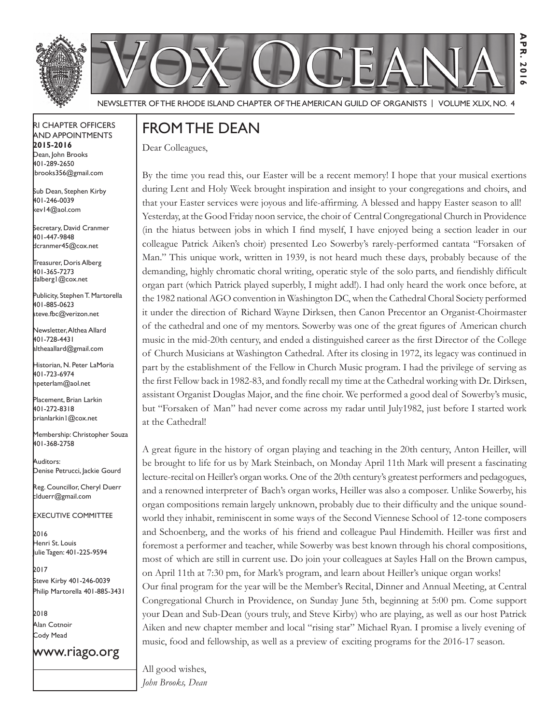



**Apr. 2016**

 $\frac{A}{P}$  $\overline{z}$ **20** 

Newsletter of the Rhode Island Chapter of the American Guild of OrganistS | Volume XLIX, No. 4

#### RI Chapter Officers and Appointments **2015-2016** Dean, John Brooks 401-289-2650 jbrooks356@gmail.com

Sub Dean, Stephen Kirby 401-246-0039 kev14@aol.com

Secretary, David Cranmer 401-447-9848 dcranmer45@cox.net

Treasurer, Doris Alberg 401-365-7273 dalberg1@cox.net I

Publicity, Stephen T. Martorella 401-885-0623 steve.fbc@verizon.net

Newsletter, Althea Allard 401-728-4431 altheaallard@gmail.com

Historian, N. Peter LaMoria 401-723-6974 npeterlam@aol.net

Placement, Brian Larkin 401-272-8318 brianlarkin1@cox.net

Membership: Christopher Souza 401-368-2758

Auditors: Denise Petrucci, Jackie Gourd

Reg. Councillor, Cheryl Duerr clduerr@gmail.com

Executive Committee

2016 Henri St. Louis Julie Tagen: 401-225-9594

2017 Steve Kirby 401-246-0039 Philip Martorella 401-885-3431

2018 Alan Cotnoir Cody Mead

www.riago.org

# From the Dean

Dear Colleagues,

By the time you read this, our Easter will be a recent memory! I hope that your musical exertions during Lent and Holy Week brought inspiration and insight to your congregations and choirs, and that your Easter services were joyous and life-affirming. A blessed and happy Easter season to all! Yesterday, at the Good Friday noon service, the choir of Central Congregational Church in Providence (in the hiatus between jobs in which I find myself, I have enjoyed being a section leader in our colleague Patrick Aiken's choir) presented Leo Sowerby's rarely-performed cantata "Forsaken of Man." This unique work, written in 1939, is not heard much these days, probably because of the demanding, highly chromatic choral writing, operatic style of the solo parts, and fiendishly difficult organ part (which Patrick played superbly, I might add!). I had only heard the work once before, at the 1982 national AGO convention in Washington DC, when the Cathedral Choral Society performed it under the direction of Richard Wayne Dirksen, then Canon Precentor an Organist-Choirmaster of the cathedral and one of my mentors. Sowerby was one of the great figures of American church music in the mid-20th century, and ended a distinguished career as the first Director of the College of Church Musicians at Washington Cathedral. After its closing in 1972, its legacy was continued in part by the establishment of the Fellow in Church Music program. I had the privilege of serving as the first Fellow back in 1982-83, and fondly recall my time at the Cathedral working with Dr. Dirksen, assistant Organist Douglas Major, and the fine choir. We performed a good deal of Sowerby's music, but "Forsaken of Man" had never come across my radar until July1982, just before I started work at the Cathedral!

A great figure in the history of organ playing and teaching in the 20th century, Anton Heiller, will be brought to life for us by Mark Steinbach, on Monday April 11th Mark will present a fascinating lecture-recital on Heiller's organ works. One of the 20th century's greatest performers and pedagogues, and a renowned interpreter of Bach's organ works, Heiller was also a composer. Unlike Sowerby, his organ compositions remain largely unknown, probably due to their difficulty and the unique soundworld they inhabit, reminiscent in some ways of the Second Viennese School of 12-tone composers and Schoenberg, and the works of his friend and colleague Paul Hindemith. Heiller was first and foremost a performer and teacher, while Sowerby was best known through his choral compositions, most of which are still in current use. Do join your colleagues at Sayles Hall on the Brown campus, on April 11th at 7:30 pm, for Mark's program, and learn about Heiller's unique organ works! Our final program for the year will be the Member's Recital, Dinner and Annual Meeting, at Central

Congregational Church in Providence, on Sunday June 5th, beginning at 5:00 pm. Come support your Dean and Sub-Dean (yours truly, and Steve Kirby) who are playing, as well as our host Patrick Aiken and new chapter member and local "rising star" Michael Ryan. I promise a lively evening of music, food and fellowship, as well as a preview of exciting programs for the 2016-17 season.

All good wishes, *John Brooks, Dean*